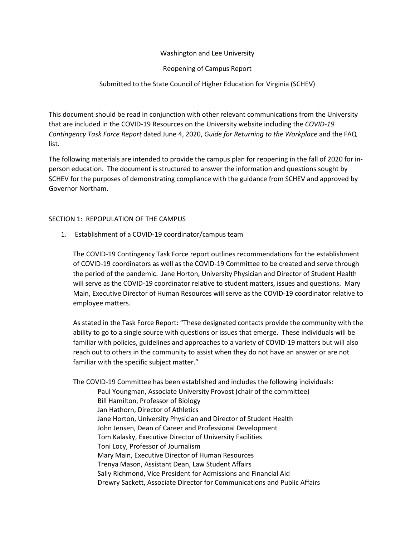## Washington and Lee University

## Reopening of Campus Report

# Submitted to the State Council of Higher Education for Virginia (SCHEV)

This document should be read in conjunction with other relevant communications from the University that are included in the COVID-19 Resources on the University website including the *COVID-19 Contingency Task Force Report* dated June 4, 2020, *Guide for Returning to the Workplace* and the FAQ list.

The following materials are intended to provide the campus plan for reopening in the fall of 2020 for inperson education. The document is structured to answer the information and questions sought by SCHEV for the purposes of demonstrating compliance with the guidance from SCHEV and approved by Governor Northam.

### SECTION 1: REPOPULATION OF THE CAMPUS

1. Establishment of a COVID-19 coordinator/campus team

The COVID-19 Contingency Task Force report outlines recommendations for the establishment of COVID-19 coordinators as well as the COVID-19 Committee to be created and serve through the period of the pandemic. Jane Horton, University Physician and Director of Student Health will serve as the COVID-19 coordinator relative to student matters, issues and questions. Mary Main, Executive Director of Human Resources will serve as the COVID-19 coordinator relative to employee matters.

As stated in the Task Force Report: "These designated contacts provide the community with the ability to go to a single source with questions or issues that emerge. These individuals will be familiar with policies, guidelines and approaches to a variety of COVID-19 matters but will also reach out to others in the community to assist when they do not have an answer or are not familiar with the specific subject matter."

The COVID-19 Committee has been established and includes the following individuals:

Paul Youngman, Associate University Provost (chair of the committee) Bill Hamilton, Professor of Biology Jan Hathorn, Director of Athletics Jane Horton, University Physician and Director of Student Health John Jensen, Dean of Career and Professional Development Tom Kalasky, Executive Director of University Facilities Toni Locy, Professor of Journalism Mary Main, Executive Director of Human Resources Trenya Mason, Assistant Dean, Law Student Affairs Sally Richmond, Vice President for Admissions and Financial Aid Drewry Sackett, Associate Director for Communications and Public Affairs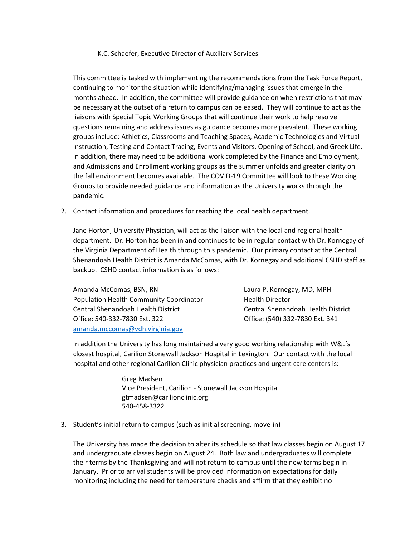### K.C. Schaefer, Executive Director of Auxiliary Services

This committee is tasked with implementing the recommendations from the Task Force Report, continuing to monitor the situation while identifying/managing issues that emerge in the months ahead. In addition, the committee will provide guidance on when restrictions that may be necessary at the outset of a return to campus can be eased. They will continue to act as the liaisons with Special Topic Working Groups that will continue their work to help resolve questions remaining and address issues as guidance becomes more prevalent. These working groups include: Athletics, Classrooms and Teaching Spaces, Academic Technologies and Virtual Instruction, Testing and Contact Tracing, Events and Visitors, Opening of School, and Greek Life. In addition, there may need to be additional work completed by the Finance and Employment, and Admissions and Enrollment working groups as the summer unfolds and greater clarity on the fall environment becomes available. The COVID-19 Committee will look to these Working Groups to provide needed guidance and information as the University works through the pandemic.

2. Contact information and procedures for reaching the local health department.

Jane Horton, University Physician, will act as the liaison with the local and regional health department. Dr. Horton has been in and continues to be in regular contact with Dr. Kornegay of the Virginia Department of Health through this pandemic. Our primary contact at the Central Shenandoah Health District is Amanda McComas, with Dr. Kornegay and additional CSHD staff as backup. CSHD contact information is as follows:

Amanda McComas, BSN, RN Laura P. Kornegay, MD, MPH Population Health Community Coordinator Health Director Central Shenandoah Health District Central Shenandoah Health District Office: 540-332-7830 Ext. 322 Office: (540) 332-7830 Ext. 341 [amanda.mccomas@vdh.virginia.gov](mailto:amanda.mccomas@vdh.virginia.gov)

In addition the University has long maintained a very good working relationship with W&L's closest hospital, Carilion Stonewall Jackson Hospital in Lexington. Our contact with the local hospital and other regional Carilion Clinic physician practices and urgent care centers is:

> Greg Madsen Vice President, Carilion - Stonewall Jackson Hospital gtmadsen@carilionclinic.org 540-458-3322

3. Student's initial return to campus (such as initial screening, move-in)

The University has made the decision to alter its schedule so that law classes begin on August 17 and undergraduate classes begin on August 24. Both law and undergraduates will complete their terms by the Thanksgiving and will not return to campus until the new terms begin in January. Prior to arrival students will be provided information on expectations for daily monitoring including the need for temperature checks and affirm that they exhibit no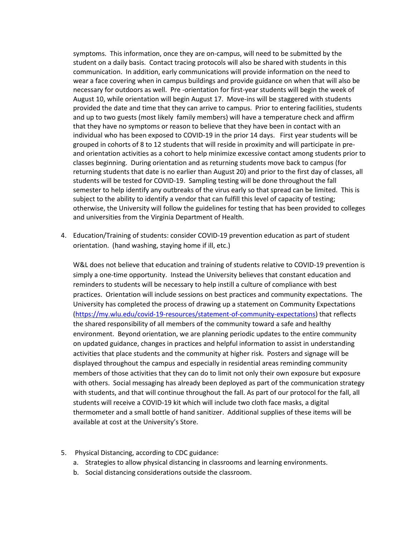symptoms. This information, once they are on-campus, will need to be submitted by the student on a daily basis. Contact tracing protocols will also be shared with students in this communication. In addition, early communications will provide information on the need to wear a face covering when in campus buildings and provide guidance on when that will also be necessary for outdoors as well. Pre -orientation for first-year students will begin the week of August 10, while orientation will begin August 17. Move-ins will be staggered with students provided the date and time that they can arrive to campus. Prior to entering facilities, students and up to two guests (most likely family members) will have a temperature check and affirm that they have no symptoms or reason to believe that they have been in contact with an individual who has been exposed to COVID-19 in the prior 14 days. First year students will be grouped in cohorts of 8 to 12 students that will reside in proximity and will participate in preand orientation activities as a cohort to help minimize excessive contact among students prior to classes beginning. During orientation and as returning students move back to campus (for returning students that date is no earlier than August 20) and prior to the first day of classes, all students will be tested for COVID-19. Sampling testing will be done throughout the fall semester to help identify any outbreaks of the virus early so that spread can be limited. This is subject to the ability to identify a vendor that can fulfill this level of capacity of testing; otherwise, the University will follow the guidelines for testing that has been provided to colleges and universities from the Virginia Department of Health.

4. Education/Training of students: consider COVID-19 prevention education as part of student orientation. (hand washing, staying home if ill, etc.)

W&L does not believe that education and training of students relative to COVID-19 prevention is simply a one-time opportunity. Instead the University believes that constant education and reminders to students will be necessary to help instill a culture of compliance with best practices. Orientation will include sessions on best practices and community expectations. The University has completed the process of drawing up a statement on Community Expectations [\(https://my.wlu.edu/covid-19-resources/statement-of-community-expectations\)](https://my.wlu.edu/covid-19-resources/statement-of-community-expectations) that reflects the shared responsibility of all members of the community toward a safe and healthy environment. Beyond orientation, we are planning periodic updates to the entire community on updated guidance, changes in practices and helpful information to assist in understanding activities that place students and the community at higher risk. Posters and signage will be displayed throughout the campus and especially in residential areas reminding community members of those activities that they can do to limit not only their own exposure but exposure with others. Social messaging has already been deployed as part of the communication strategy with students, and that will continue throughout the fall. As part of our protocol for the fall, all students will receive a COVID-19 kit which will include two cloth face masks, a digital thermometer and a small bottle of hand sanitizer. Additional supplies of these items will be available at cost at the University's Store.

- 5. Physical Distancing, according to CDC guidance:
	- a. Strategies to allow physical distancing in classrooms and learning environments.
	- b. Social distancing considerations outside the classroom.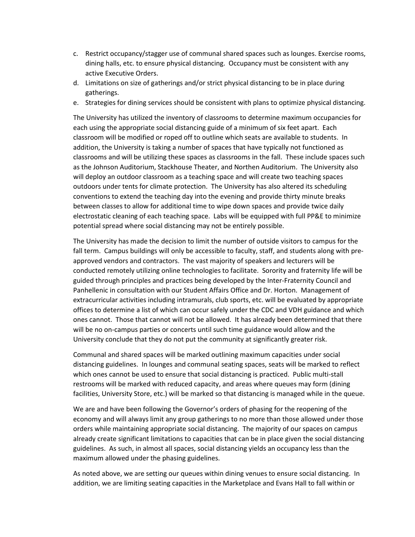- c. Restrict occupancy/stagger use of communal shared spaces such as lounges. Exercise rooms, dining halls, etc. to ensure physical distancing. Occupancy must be consistent with any active Executive Orders.
- d. Limitations on size of gatherings and/or strict physical distancing to be in place during gatherings.
- e. Strategies for dining services should be consistent with plans to optimize physical distancing.

The University has utilized the inventory of classrooms to determine maximum occupancies for each using the appropriate social distancing guide of a minimum of six feet apart. Each classroom will be modified or roped off to outline which seats are available to students. In addition, the University is taking a number of spaces that have typically not functioned as classrooms and will be utilizing these spaces as classrooms in the fall. These include spaces such as the Johnson Auditorium, Stackhouse Theater, and Northen Auditorium. The University also will deploy an outdoor classroom as a teaching space and will create two teaching spaces outdoors under tents for climate protection. The University has also altered its scheduling conventions to extend the teaching day into the evening and provide thirty minute breaks between classes to allow for additional time to wipe down spaces and provide twice daily electrostatic cleaning of each teaching space. Labs will be equipped with full PP&E to minimize potential spread where social distancing may not be entirely possible.

The University has made the decision to limit the number of outside visitors to campus for the fall term. Campus buildings will only be accessible to faculty, staff, and students along with preapproved vendors and contractors. The vast majority of speakers and lecturers will be conducted remotely utilizing online technologies to facilitate. Sorority and fraternity life will be guided through principles and practices being developed by the Inter-Fraternity Council and Panhellenic in consultation with our Student Affairs Office and Dr. Horton. Management of extracurricular activities including intramurals, club sports, etc. will be evaluated by appropriate offices to determine a list of which can occur safely under the CDC and VDH guidance and which ones cannot. Those that cannot will not be allowed. It has already been determined that there will be no on-campus parties or concerts until such time guidance would allow and the University conclude that they do not put the community at significantly greater risk.

Communal and shared spaces will be marked outlining maximum capacities under social distancing guidelines. In lounges and communal seating spaces, seats will be marked to reflect which ones cannot be used to ensure that social distancing is practiced. Public multi-stall restrooms will be marked with reduced capacity, and areas where queues may form (dining facilities, University Store, etc.) will be marked so that distancing is managed while in the queue.

We are and have been following the Governor's orders of phasing for the reopening of the economy and will always limit any group gatherings to no more than those allowed under those orders while maintaining appropriate social distancing. The majority of our spaces on campus already create significant limitations to capacities that can be in place given the social distancing guidelines. As such, in almost all spaces, social distancing yields an occupancy less than the maximum allowed under the phasing guidelines.

As noted above, we are setting our queues within dining venues to ensure social distancing. In addition, we are limiting seating capacities in the Marketplace and Evans Hall to fall within or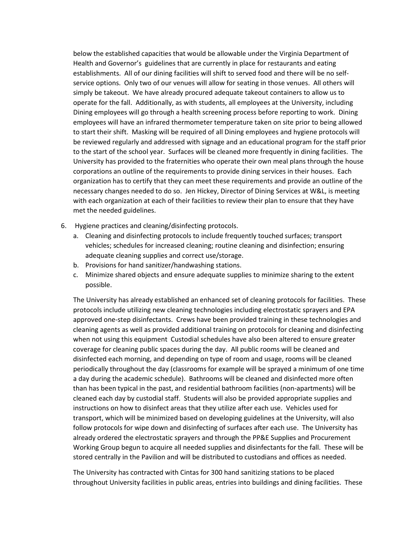below the established capacities that would be allowable under the Virginia Department of Health and Governor's guidelines that are currently in place for restaurants and eating establishments. All of our dining facilities will shift to served food and there will be no selfservice options. Only two of our venues will allow for seating in those venues. All others will simply be takeout. We have already procured adequate takeout containers to allow us to operate for the fall. Additionally, as with students, all employees at the University, including Dining employees will go through a health screening process before reporting to work. Dining employees will have an infrared thermometer temperature taken on site prior to being allowed to start their shift. Masking will be required of all Dining employees and hygiene protocols will be reviewed regularly and addressed with signage and an educational program for the staff prior to the start of the school year. Surfaces will be cleaned more frequently in dining facilities. The University has provided to the fraternities who operate their own meal plans through the house corporations an outline of the requirements to provide dining services in their houses. Each organization has to certify that they can meet these requirements and provide an outline of the necessary changes needed to do so. Jen Hickey, Director of Dining Services at W&L, is meeting with each organization at each of their facilities to review their plan to ensure that they have met the needed guidelines.

- 6. Hygiene practices and cleaning/disinfecting protocols.
	- a. Cleaning and disinfecting protocols to include frequently touched surfaces; transport vehicles; schedules for increased cleaning; routine cleaning and disinfection; ensuring adequate cleaning supplies and correct use/storage.
	- b. Provisions for hand sanitizer/handwashing stations.
	- c. Minimize shared objects and ensure adequate supplies to minimize sharing to the extent possible.

The University has already established an enhanced set of cleaning protocols for facilities. These protocols include utilizing new cleaning technologies including electrostatic sprayers and EPA approved one-step disinfectants. Crews have been provided training in these technologies and cleaning agents as well as provided additional training on protocols for cleaning and disinfecting when not using this equipment Custodial schedules have also been altered to ensure greater coverage for cleaning public spaces during the day. All public rooms will be cleaned and disinfected each morning, and depending on type of room and usage, rooms will be cleaned periodically throughout the day (classrooms for example will be sprayed a minimum of one time a day during the academic schedule). Bathrooms will be cleaned and disinfected more often than has been typical in the past, and residential bathroom facilities (non-apartments) will be cleaned each day by custodial staff. Students will also be provided appropriate supplies and instructions on how to disinfect areas that they utilize after each use. Vehicles used for transport, which will be minimized based on developing guidelines at the University, will also follow protocols for wipe down and disinfecting of surfaces after each use. The University has already ordered the electrostatic sprayers and through the PP&E Supplies and Procurement Working Group begun to acquire all needed supplies and disinfectants for the fall. These will be stored centrally in the Pavilion and will be distributed to custodians and offices as needed.

The University has contracted with Cintas for 300 hand sanitizing stations to be placed throughout University facilities in public areas, entries into buildings and dining facilities. These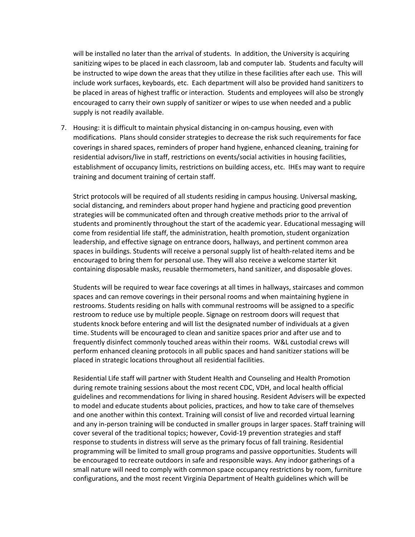will be installed no later than the arrival of students. In addition, the University is acquiring sanitizing wipes to be placed in each classroom, lab and computer lab. Students and faculty will be instructed to wipe down the areas that they utilize in these facilities after each use. This will include work surfaces, keyboards, etc. Each department will also be provided hand sanitizers to be placed in areas of highest traffic or interaction. Students and employees will also be strongly encouraged to carry their own supply of sanitizer or wipes to use when needed and a public supply is not readily available.

7. Housing: it is difficult to maintain physical distancing in on-campus housing, even with modifications. Plans should consider strategies to decrease the risk such requirements for face coverings in shared spaces, reminders of proper hand hygiene, enhanced cleaning, training for residential advisors/live in staff, restrictions on events/social activities in housing facilities, establishment of occupancy limits, restrictions on building access, etc. IHEs may want to require training and document training of certain staff.

Strict protocols will be required of all students residing in campus housing. Universal masking, social distancing, and reminders about proper hand hygiene and practicing good prevention strategies will be communicated often and through creative methods prior to the arrival of students and prominently throughout the start of the academic year. Educational messaging will come from residential life staff, the administration, health promotion, student organization leadership, and effective signage on entrance doors, hallways, and pertinent common area spaces in buildings. Students will receive a personal supply list of health-related items and be encouraged to bring them for personal use. They will also receive a welcome starter kit containing disposable masks, reusable thermometers, hand sanitizer, and disposable gloves.

Students will be required to wear face coverings at all times in hallways, staircases and common spaces and can remove coverings in their personal rooms and when maintaining hygiene in restrooms. Students residing on halls with communal restrooms will be assigned to a specific restroom to reduce use by multiple people. Signage on restroom doors will request that students knock before entering and will list the designated number of individuals at a given time. Students will be encouraged to clean and sanitize spaces prior and after use and to frequently disinfect commonly touched areas within their rooms. W&L custodial crews will perform enhanced cleaning protocols in all public spaces and hand sanitizer stations will be placed in strategic locations throughout all residential facilities.

Residential Life staff will partner with Student Health and Counseling and Health Promotion during remote training sessions about the most recent CDC, VDH, and local health official guidelines and recommendations for living in shared housing. Resident Advisers will be expected to model and educate students about policies, practices, and how to take care of themselves and one another within this context. Training will consist of live and recorded virtual learning and any in-person training will be conducted in smaller groups in larger spaces. Staff training will cover several of the traditional topics; however, Covid-19 prevention strategies and staff response to students in distress will serve as the primary focus of fall training. Residential programming will be limited to small group programs and passive opportunities. Students will be encouraged to recreate outdoors in safe and responsible ways. Any indoor gatherings of a small nature will need to comply with common space occupancy restrictions by room, furniture configurations, and the most recent Virginia Department of Health guidelines which will be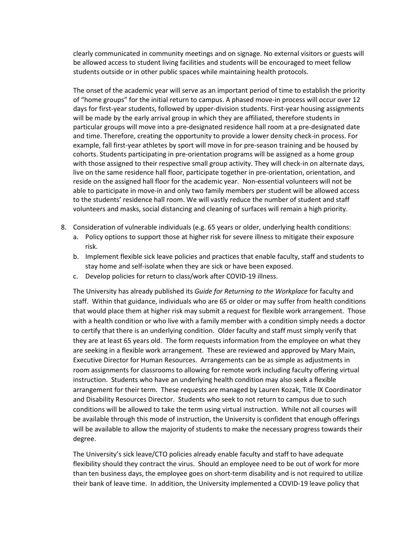clearly communicated in community meetings and on signage. No external visitors or guests will be allowed access to student living facilities and students will be encouraged to meet fellow students outside or in other public spaces while maintaining health protocols.

The onset of the academic year will serve as an important period of time to establish the priority of "home groups" for the initial return to campus. A phased move-in process will occur over 12 days for first-year students, followed by upper-division students. First-year housing assignments will be made by the early arrival group in which they are affiliated, therefore students in particular groups will move into a pre-designated residence hall room at a pre-designated date and time. Therefore, creating the opportunity to provide a lower density check-in process. For example, fall first-year athletes by sport will move in for pre-season training and be housed by cohorts. Students participating in pre-orientation programs will be assigned as a home group with those assigned to their respective small group activity. They will check-in on alternate days, live on the same residence hall floor, participate together in pre-orientation, orientation, and reside on the assigned hall floor for the academic year. Non-essential volunteers will not be able to participate in move-in and only two family members per student will be allowed access to the students' residence hall room. We will vastly reduce the number of student and staff volunteers and masks, social distancing and cleaning of surfaces will remain a high priority.

- 8. Consideration of vulnerable individuals (e.g. 65 years or older, underlying health conditions:
	- a. Policy options to support those at higher risk for severe illness to mitigate their exposure risk.
	- b. Implement flexible sick leave policies and practices that enable faculty, staff and students to stay home and self-isolate when they are sick or have been exposed.
	- c. Develop policies for return to class/work after COVID-19 illness.

The University has already published its *Guide for Returning to the Workplace* for faculty and staff. Within that guidance, individuals who are 65 or older or may suffer from health conditions that would place them at higher risk may submit a request for flexible work arrangement. Those with a health condition or who live with a family member with a condition simply needs a doctor to certify that there is an underlying condition. Older faculty and staff must simply verify that they are at least 65 years old. The form requests information from the employee on what they are seeking in a flexible work arrangement. These are reviewed and approved by Mary Main, Executive Director for Human Resources. Arrangements can be as simple as adjustments in room assignments for classrooms to allowing for remote work including faculty offering virtual instruction. Students who have an underlying health condition may also seek a flexible arrangement for their term. These requests are managed by Lauren Kozak, Title IX Coordinator and Disability Resources Director. Students who seek to not return to campus due to such conditions will be allowed to take the term using virtual instruction. While not all courses will be available through this mode of instruction, the University is confident that enough offerings will be available to allow the majority of students to make the necessary progress towards their degree.

The University's sick leave/CTO policies already enable faculty and staff to have adequate flexibility should they contract the virus. Should an employee need to be out of work for more than ten business days, the employee goes on short-term disability and is not required to utilize their bank of leave time. In addition, the University implemented a COVID-19 leave policy that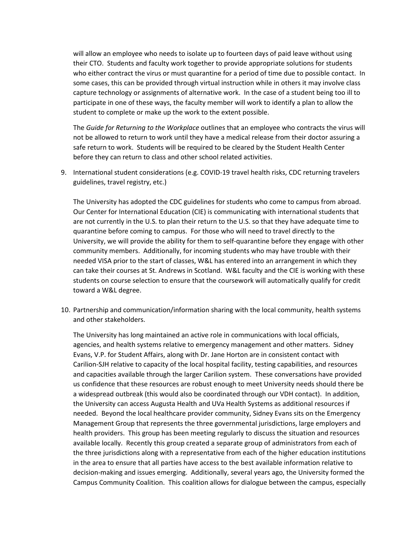will allow an employee who needs to isolate up to fourteen days of paid leave without using their CTO. Students and faculty work together to provide appropriate solutions for students who either contract the virus or must quarantine for a period of time due to possible contact. In some cases, this can be provided through virtual instruction while in others it may involve class capture technology or assignments of alternative work. In the case of a student being too ill to participate in one of these ways, the faculty member will work to identify a plan to allow the student to complete or make up the work to the extent possible.

The *Guide for Returning to the Workplace* outlines that an employee who contracts the virus will not be allowed to return to work until they have a medical release from their doctor assuring a safe return to work. Students will be required to be cleared by the Student Health Center before they can return to class and other school related activities.

9. International student considerations (e.g. COVID-19 travel health risks, CDC returning travelers guidelines, travel registry, etc.)

The University has adopted the CDC guidelines for students who come to campus from abroad. Our Center for International Education (CIE) is communicating with international students that are not currently in the U.S. to plan their return to the U.S. so that they have adequate time to quarantine before coming to campus. For those who will need to travel directly to the University, we will provide the ability for them to self-quarantine before they engage with other community members. Additionally, for incoming students who may have trouble with their needed VISA prior to the start of classes, W&L has entered into an arrangement in which they can take their courses at St. Andrews in Scotland. W&L faculty and the CIE is working with these students on course selection to ensure that the coursework will automatically qualify for credit toward a W&L degree.

10. Partnership and communication/information sharing with the local community, health systems and other stakeholders.

The University has long maintained an active role in communications with local officials, agencies, and health systems relative to emergency management and other matters. Sidney Evans, V.P. for Student Affairs, along with Dr. Jane Horton are in consistent contact with Carilion-SJH relative to capacity of the local hospital facility, testing capabilities, and resources and capacities available through the larger Carilion system. These conversations have provided us confidence that these resources are robust enough to meet University needs should there be a widespread outbreak (this would also be coordinated through our VDH contact). In addition, the University can access Augusta Health and UVa Health Systems as additional resources if needed. Beyond the local healthcare provider community, Sidney Evans sits on the Emergency Management Group that represents the three governmental jurisdictions, large employers and health providers. This group has been meeting regularly to discuss the situation and resources available locally. Recently this group created a separate group of administrators from each of the three jurisdictions along with a representative from each of the higher education institutions in the area to ensure that all parties have access to the best available information relative to decision-making and issues emerging. Additionally, several years ago, the University formed the Campus Community Coalition. This coalition allows for dialogue between the campus, especially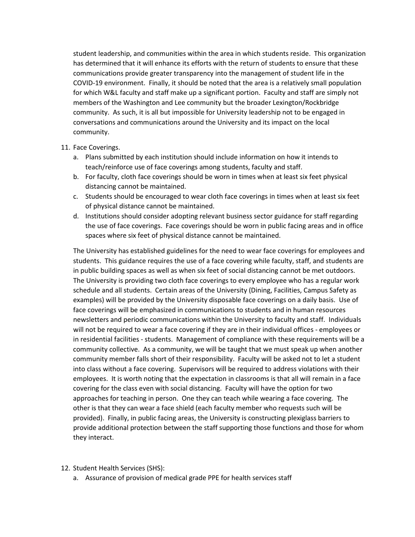student leadership, and communities within the area in which students reside. This organization has determined that it will enhance its efforts with the return of students to ensure that these communications provide greater transparency into the management of student life in the COVID-19 environment. Finally, it should be noted that the area is a relatively small population for which W&L faculty and staff make up a significant portion. Faculty and staff are simply not members of the Washington and Lee community but the broader Lexington/Rockbridge community. As such, it is all but impossible for University leadership not to be engaged in conversations and communications around the University and its impact on the local community.

### 11. Face Coverings.

- a. Plans submitted by each institution should include information on how it intends to teach/reinforce use of face coverings among students, faculty and staff.
- b. For faculty, cloth face coverings should be worn in times when at least six feet physical distancing cannot be maintained.
- c. Students should be encouraged to wear cloth face coverings in times when at least six feet of physical distance cannot be maintained.
- d. Institutions should consider adopting relevant business sector guidance for staff regarding the use of face coverings. Face coverings should be worn in public facing areas and in office spaces where six feet of physical distance cannot be maintained.

The University has established guidelines for the need to wear face coverings for employees and students. This guidance requires the use of a face covering while faculty, staff, and students are in public building spaces as well as when six feet of social distancing cannot be met outdoors. The University is providing two cloth face coverings to every employee who has a regular work schedule and all students. Certain areas of the University (Dining, Facilities, Campus Safety as examples) will be provided by the University disposable face coverings on a daily basis. Use of face coverings will be emphasized in communications to students and in human resources newsletters and periodic communications within the University to faculty and staff. Individuals will not be required to wear a face covering if they are in their individual offices - employees or in residential facilities - students. Management of compliance with these requirements will be a community collective. As a community, we will be taught that we must speak up when another community member falls short of their responsibility. Faculty will be asked not to let a student into class without a face covering. Supervisors will be required to address violations with their employees. It is worth noting that the expectation in classrooms is that all will remain in a face covering for the class even with social distancing. Faculty will have the option for two approaches for teaching in person. One they can teach while wearing a face covering. The other is that they can wear a face shield (each faculty member who requests such will be provided). Finally, in public facing areas, the University is constructing plexiglass barriers to provide additional protection between the staff supporting those functions and those for whom they interact.

#### 12. Student Health Services (SHS):

a. Assurance of provision of medical grade PPE for health services staff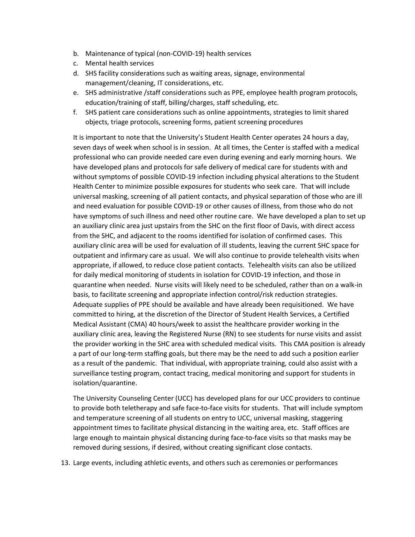- b. Maintenance of typical (non-COVID-19) health services
- c. Mental health services
- d. SHS facility considerations such as waiting areas, signage, environmental management/cleaning, IT considerations, etc.
- e. SHS administrative /staff considerations such as PPE, employee health program protocols, education/training of staff, billing/charges, staff scheduling, etc.
- f. SHS patient care considerations such as online appointments, strategies to limit shared objects, triage protocols, screening forms, patient screening procedures

It is important to note that the University's Student Health Center operates 24 hours a day, seven days of week when school is in session. At all times, the Center is staffed with a medical professional who can provide needed care even during evening and early morning hours. We have developed plans and protocols for safe delivery of medical care for students with and without symptoms of possible COVID-19 infection including physical alterations to the Student Health Center to minimize possible exposures for students who seek care. That will include universal masking, screening of all patient contacts, and physical separation of those who are ill and need evaluation for possible COVID-19 or other causes of illness, from those who do not have symptoms of such illness and need other routine care. We have developed a plan to set up an auxiliary clinic area just upstairs from the SHC on the first floor of Davis, with direct access from the SHC, and adjacent to the rooms identified for isolation of confirmed cases. This auxiliary clinic area will be used for evaluation of ill students, leaving the current SHC space for outpatient and infirmary care as usual. We will also continue to provide telehealth visits when appropriate, if allowed, to reduce close patient contacts. Telehealth visits can also be utilized for daily medical monitoring of students in isolation for COVID-19 infection, and those in quarantine when needed. Nurse visits will likely need to be scheduled, rather than on a walk-in basis, to facilitate screening and appropriate infection control/risk reduction strategies. Adequate supplies of PPE should be available and have already been requisitioned. We have committed to hiring, at the discretion of the Director of Student Health Services, a Certified Medical Assistant (CMA) 40 hours/week to assist the healthcare provider working in the auxiliary clinic area, leaving the Registered Nurse (RN) to see students for nurse visits and assist the provider working in the SHC area with scheduled medical visits. This CMA position is already a part of our long-term staffing goals, but there may be the need to add such a position earlier as a result of the pandemic. That individual, with appropriate training, could also assist with a surveillance testing program, contact tracing, medical monitoring and support for students in isolation/quarantine.

The University Counseling Center (UCC) has developed plans for our UCC providers to continue to provide both teletherapy and safe face-to-face visits for students. That will include symptom and temperature screening of all students on entry to UCC, universal masking, staggering appointment times to facilitate physical distancing in the waiting area, etc. Staff offices are large enough to maintain physical distancing during face-to-face visits so that masks may be removed during sessions, if desired, without creating significant close contacts.

13. Large events, including athletic events, and others such as ceremonies or performances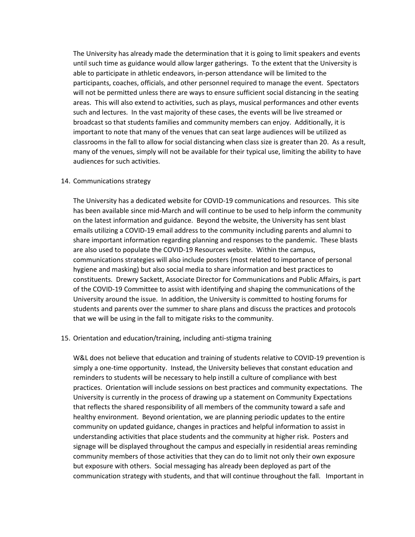The University has already made the determination that it is going to limit speakers and events until such time as guidance would allow larger gatherings. To the extent that the University is able to participate in athletic endeavors, in-person attendance will be limited to the participants, coaches, officials, and other personnel required to manage the event. Spectators will not be permitted unless there are ways to ensure sufficient social distancing in the seating areas. This will also extend to activities, such as plays, musical performances and other events such and lectures. In the vast majority of these cases, the events will be live streamed or broadcast so that students families and community members can enjoy. Additionally, it is important to note that many of the venues that can seat large audiences will be utilized as classrooms in the fall to allow for social distancing when class size is greater than 20. As a result, many of the venues, simply will not be available for their typical use, limiting the ability to have audiences for such activities.

#### 14. Communications strategy

The University has a dedicated website for COVID-19 communications and resources. This site has been available since mid-March and will continue to be used to help inform the community on the latest information and guidance. Beyond the website, the University has sent blast emails utilizing a COVID-19 email address to the community including parents and alumni to share important information regarding planning and responses to the pandemic. These blasts are also used to populate the COVID-19 Resources website. Within the campus, communications strategies will also include posters (most related to importance of personal hygiene and masking) but also social media to share information and best practices to constituents. Drewry Sackett, Associate Director for Communications and Public Affairs, is part of the COVID-19 Committee to assist with identifying and shaping the communications of the University around the issue. In addition, the University is committed to hosting forums for students and parents over the summer to share plans and discuss the practices and protocols that we will be using in the fall to mitigate risks to the community.

#### 15. Orientation and education/training, including anti-stigma training

W&L does not believe that education and training of students relative to COVID-19 prevention is simply a one-time opportunity. Instead, the University believes that constant education and reminders to students will be necessary to help instill a culture of compliance with best practices. Orientation will include sessions on best practices and community expectations. The University is currently in the process of drawing up a statement on Community Expectations that reflects the shared responsibility of all members of the community toward a safe and healthy environment. Beyond orientation, we are planning periodic updates to the entire community on updated guidance, changes in practices and helpful information to assist in understanding activities that place students and the community at higher risk. Posters and signage will be displayed throughout the campus and especially in residential areas reminding community members of those activities that they can do to limit not only their own exposure but exposure with others. Social messaging has already been deployed as part of the communication strategy with students, and that will continue throughout the fall. Important in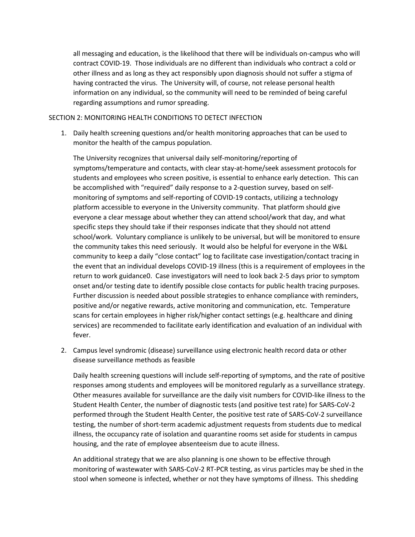all messaging and education, is the likelihood that there will be individuals on-campus who will contract COVID-19. Those individuals are no different than individuals who contract a cold or other illness and as long as they act responsibly upon diagnosis should not suffer a stigma of having contracted the virus. The University will, of course, not release personal health information on any individual, so the community will need to be reminded of being careful regarding assumptions and rumor spreading.

#### SECTION 2: MONITORING HEALTH CONDITIONS TO DETECT INFECTION

1. Daily health screening questions and/or health monitoring approaches that can be used to monitor the health of the campus population.

The University recognizes that universal daily self-monitoring/reporting of symptoms/temperature and contacts, with clear stay-at-home/seek assessment protocols for students and employees who screen positive, is essential to enhance early detection. This can be accomplished with "required" daily response to a 2-question survey, based on selfmonitoring of symptoms and self-reporting of COVID-19 contacts, utilizing a technology platform accessible to everyone in the University community. That platform should give everyone a clear message about whether they can attend school/work that day, and what specific steps they should take if their responses indicate that they should not attend school/work. Voluntary compliance is unlikely to be universal, but will be monitored to ensure the community takes this need seriously. It would also be helpful for everyone in the W&L community to keep a daily "close contact" log to facilitate case investigation/contact tracing in the event that an individual develops COVID-19 illness (this is a requirement of employees in the return to work guidance0. Case investigators will need to look back 2-5 days prior to symptom onset and/or testing date to identify possible close contacts for public health tracing purposes. Further discussion is needed about possible strategies to enhance compliance with reminders, positive and/or negative rewards, active monitoring and communication, etc. Temperature scans for certain employees in higher risk/higher contact settings (e.g. healthcare and dining services) are recommended to facilitate early identification and evaluation of an individual with fever.

2. Campus level syndromic (disease) surveillance using electronic health record data or other disease surveillance methods as feasible

Daily health screening questions will include self-reporting of symptoms, and the rate of positive responses among students and employees will be monitored regularly as a surveillance strategy. Other measures available for surveillance are the daily visit numbers for COVID-like illness to the Student Health Center, the number of diagnostic tests (and positive test rate) for SARS-CoV-2 performed through the Student Health Center, the positive test rate of SARS-CoV-2 surveillance testing, the number of short-term academic adjustment requests from students due to medical illness, the occupancy rate of isolation and quarantine rooms set aside for students in campus housing, and the rate of employee absenteeism due to acute illness.

An additional strategy that we are also planning is one shown to be effective through monitoring of wastewater with SARS-CoV-2 RT-PCR testing, as virus particles may be shed in the stool when someone is infected, whether or not they have symptoms of illness. This shedding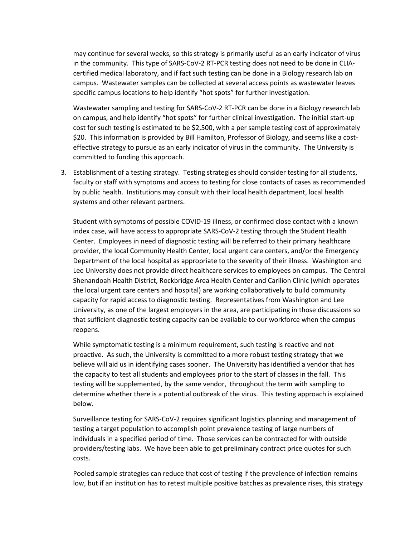may continue for several weeks, so this strategy is primarily useful as an early indicator of virus in the community. This type of SARS-CoV-2 RT-PCR testing does not need to be done in CLIAcertified medical laboratory, and if fact such testing can be done in a Biology research lab on campus. Wastewater samples can be collected at several access points as wastewater leaves specific campus locations to help identify "hot spots" for further investigation.

Wastewater sampling and testing for SARS-CoV-2 RT-PCR can be done in a Biology research lab on campus, and help identify "hot spots" for further clinical investigation. The initial start-up cost for such testing is estimated to be \$2,500, with a per sample testing cost of approximately \$20. This information is provided by Bill Hamilton, Professor of Biology, and seems like a costeffective strategy to pursue as an early indicator of virus in the community. The University is committed to funding this approach.

3. Establishment of a testing strategy. Testing strategies should consider testing for all students, faculty or staff with symptoms and access to testing for close contacts of cases as recommended by public health. Institutions may consult with their local health department, local health systems and other relevant partners.

Student with symptoms of possible COVID-19 illness, or confirmed close contact with a known index case, will have access to appropriate SARS-CoV-2 testing through the Student Health Center. Employees in need of diagnostic testing will be referred to their primary healthcare provider, the local Community Health Center, local urgent care centers, and/or the Emergency Department of the local hospital as appropriate to the severity of their illness. Washington and Lee University does not provide direct healthcare services to employees on campus. The Central Shenandoah Health District, Rockbridge Area Health Center and Carilion Clinic (which operates the local urgent care centers and hospital) are working collaboratively to build community capacity for rapid access to diagnostic testing. Representatives from Washington and Lee University, as one of the largest employers in the area, are participating in those discussions so that sufficient diagnostic testing capacity can be available to our workforce when the campus reopens.

While symptomatic testing is a minimum requirement, such testing is reactive and not proactive. As such, the University is committed to a more robust testing strategy that we believe will aid us in identifying cases sooner. The University has identified a vendor that has the capacity to test all students and employees prior to the start of classes in the fall. This testing will be supplemented, by the same vendor, throughout the term with sampling to determine whether there is a potential outbreak of the virus. This testing approach is explained below.

Surveillance testing for SARS-CoV-2 requires significant logistics planning and management of testing a target population to accomplish point prevalence testing of large numbers of individuals in a specified period of time. Those services can be contracted for with outside providers/testing labs. We have been able to get preliminary contract price quotes for such costs.

Pooled sample strategies can reduce that cost of testing if the prevalence of infection remains low, but if an institution has to retest multiple positive batches as prevalence rises, this strategy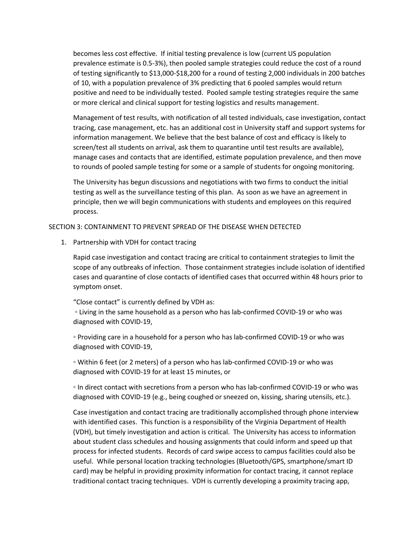becomes less cost effective. If initial testing prevalence is low (current US population prevalence estimate is 0.5-3%), then pooled sample strategies could reduce the cost of a round of testing significantly to \$13,000-\$18,200 for a round of testing 2,000 individuals in 200 batches of 10, with a population prevalence of 3% predicting that 6 pooled samples would return positive and need to be individually tested. Pooled sample testing strategies require the same or more clerical and clinical support for testing logistics and results management.

Management of test results, with notification of all tested individuals, case investigation, contact tracing, case management, etc. has an additional cost in University staff and support systems for information management. We believe that the best balance of cost and efficacy is likely to screen/test all students on arrival, ask them to quarantine until test results are available), manage cases and contacts that are identified, estimate population prevalence, and then move to rounds of pooled sample testing for some or a sample of students for ongoing monitoring.

The University has begun discussions and negotiations with two firms to conduct the initial testing as well as the surveillance testing of this plan. As soon as we have an agreement in principle, then we will begin communications with students and employees on this required process.

### SECTION 3: CONTAINMENT TO PREVENT SPREAD OF THE DISEASE WHEN DETECTED

1. Partnership with VDH for contact tracing

Rapid case investigation and contact tracing are critical to containment strategies to limit the scope of any outbreaks of infection. Those containment strategies include isolation of identified cases and quarantine of close contacts of identified cases that occurred within 48 hours prior to symptom onset.

"Close contact" is currently defined by VDH as:

◦ Living in the same household as a person who has lab-confirmed COVID-19 or who was diagnosed with COVID-19,

◦ Providing care in a household for a person who has lab-confirmed COVID-19 or who was diagnosed with COVID-19,

◦ Within 6 feet (or 2 meters) of a person who has lab-confirmed COVID-19 or who was diagnosed with COVID-19 for at least 15 minutes, or

◦ In direct contact with secretions from a person who has lab-confirmed COVID-19 or who was diagnosed with COVID-19 (e.g., being coughed or sneezed on, kissing, sharing utensils, etc.).

Case investigation and contact tracing are traditionally accomplished through phone interview with identified cases. This function is a responsibility of the Virginia Department of Health (VDH), but timely investigation and action is critical. The University has access to information about student class schedules and housing assignments that could inform and speed up that process for infected students. Records of card swipe access to campus facilities could also be useful. While personal location tracking technologies (Bluetooth/GPS, smartphone/smart ID card) may be helpful in providing proximity information for contact tracing, it cannot replace traditional contact tracing techniques. VDH is currently developing a proximity tracing app,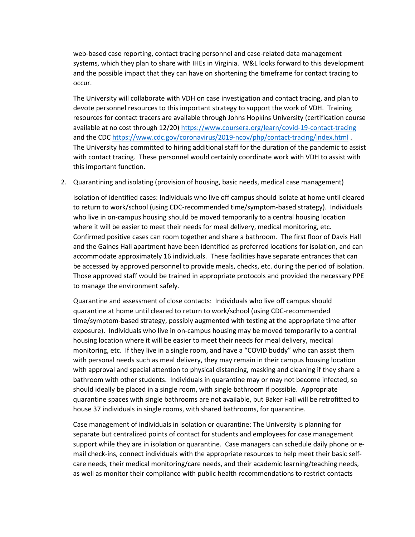web-based case reporting, contact tracing personnel and case-related data management systems, which they plan to share with IHEs in Virginia. W&L looks forward to this development and the possible impact that they can have on shortening the timeframe for contact tracing to occur.

The University will collaborate with VDH on case investigation and contact tracing, and plan to devote personnel resources to this important strategy to support the work of VDH. Training resources for contact tracers are available through Johns Hopkins University (certification course available at no cost through 12/20) [https://www.coursera.org/learn/covid-19-contact-tracing](https://nam03.safelinks.protection.outlook.com/?url=https%3A%2F%2Fwww.coursera.org%2Flearn%2Fcovid-19-contact-tracing&data=02%7C01%7CJHorton%40wlu.edu%7C2e1833059e7942a93dec08d800f1b5fe%7Cd1a80622a99943e58eb67873905e939e%7C1%7C0%7C637260385422859978&sdata=tsGVW4Fp62AI2Yk8NAJKongExx2%2B%2Fjc8v%2Bf10ayyIdw%3D&reserved=0) and the CD[C https://www.cdc.gov/coronavirus/2019-ncov/php/contact-tracing/index.html](https://nam03.safelinks.protection.outlook.com/?url=https%3A%2F%2Fwww.cdc.gov%2Fcoronavirus%2F2019-ncov%2Fphp%2Fcontact-tracing%2Findex.html&data=02%7C01%7CJHorton%40wlu.edu%7C2e1833059e7942a93dec08d800f1b5fe%7Cd1a80622a99943e58eb67873905e939e%7C1%7C0%7C637260385422869933&sdata=pOdJyDk3Ol4jnKYWfet5Le8YE7WFOMaZ3I9yuSVLpZM%3D&reserved=0) . The University has committed to hiring additional staff for the duration of the pandemic to assist with contact tracing. These personnel would certainly coordinate work with VDH to assist with this important function.

2. Quarantining and isolating (provision of housing, basic needs, medical case management)

Isolation of identified cases: Individuals who live off campus should isolate at home until cleared to return to work/school (using CDC-recommended time/symptom-based strategy). Individuals who live in on-campus housing should be moved temporarily to a central housing location where it will be easier to meet their needs for meal delivery, medical monitoring, etc. Confirmed positive cases can room together and share a bathroom. The first floor of Davis Hall and the Gaines Hall apartment have been identified as preferred locations for isolation, and can accommodate approximately 16 individuals. These facilities have separate entrances that can be accessed by approved personnel to provide meals, checks, etc. during the period of isolation. Those approved staff would be trained in appropriate protocols and provided the necessary PPE to manage the environment safely.

Quarantine and assessment of close contacts:Individuals who live off campus should quarantine at home until cleared to return to work/school (using CDC-recommended time/symptom-based strategy, possibly augmented with testing at the appropriate time after exposure). Individuals who live in on-campus housing may be moved temporarily to a central housing location where it will be easier to meet their needs for meal delivery, medical monitoring, etc. If they live in a single room, and have a "COVID buddy" who can assist them with personal needs such as meal delivery, they may remain in their campus housing location with approval and special attention to physical distancing, masking and cleaning if they share a bathroom with other students. Individuals in quarantine may or may not become infected, so should ideally be placed in a single room, with single bathroom if possible. Appropriate quarantine spaces with single bathrooms are not available, but Baker Hall will be retrofitted to house 37 individuals in single rooms, with shared bathrooms, for quarantine.

Case management of individuals in isolation or quarantine: The University is planning for separate but centralized points of contact for students and employees for case management support while they are in isolation or quarantine. Case managers can schedule daily phone or email check-ins, connect individuals with the appropriate resources to help meet their basic selfcare needs, their medical monitoring/care needs, and their academic learning/teaching needs, as well as monitor their compliance with public health recommendations to restrict contacts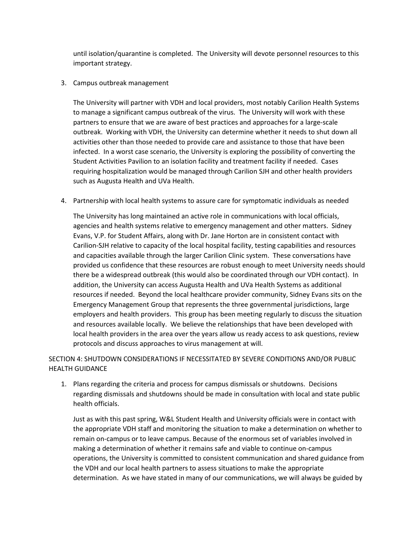until isolation/quarantine is completed. The University will devote personnel resources to this important strategy.

### 3. Campus outbreak management

The University will partner with VDH and local providers, most notably Carilion Health Systems to manage a significant campus outbreak of the virus. The University will work with these partners to ensure that we are aware of best practices and approaches for a large-scale outbreak. Working with VDH, the University can determine whether it needs to shut down all activities other than those needed to provide care and assistance to those that have been infected. In a worst case scenario, the University is exploring the possibility of converting the Student Activities Pavilion to an isolation facility and treatment facility if needed. Cases requiring hospitalization would be managed through Carilion SJH and other health providers such as Augusta Health and UVa Health.

4. Partnership with local health systems to assure care for symptomatic individuals as needed

The University has long maintained an active role in communications with local officials, agencies and health systems relative to emergency management and other matters. Sidney Evans, V.P. for Student Affairs, along with Dr. Jane Horton are in consistent contact with Carilion-SJH relative to capacity of the local hospital facility, testing capabilities and resources and capacities available through the larger Carilion Clinic system. These conversations have provided us confidence that these resources are robust enough to meet University needs should there be a widespread outbreak (this would also be coordinated through our VDH contact). In addition, the University can access Augusta Health and UVa Health Systems as additional resources if needed. Beyond the local healthcare provider community, Sidney Evans sits on the Emergency Management Group that represents the three governmental jurisdictions, large employers and health providers. This group has been meeting regularly to discuss the situation and resources available locally. We believe the relationships that have been developed with local health providers in the area over the years allow us ready access to ask questions, review protocols and discuss approaches to virus management at will.

# SECTION 4: SHUTDOWN CONSIDERATIONS IF NECESSITATED BY SEVERE CONDITIONS AND/OR PUBLIC HEALTH GUIDANCE

1. Plans regarding the criteria and process for campus dismissals or shutdowns. Decisions regarding dismissals and shutdowns should be made in consultation with local and state public health officials.

Just as with this past spring, W&L Student Health and University officials were in contact with the appropriate VDH staff and monitoring the situation to make a determination on whether to remain on-campus or to leave campus. Because of the enormous set of variables involved in making a determination of whether it remains safe and viable to continue on-campus operations, the University is committed to consistent communication and shared guidance from the VDH and our local health partners to assess situations to make the appropriate determination. As we have stated in many of our communications, we will always be guided by